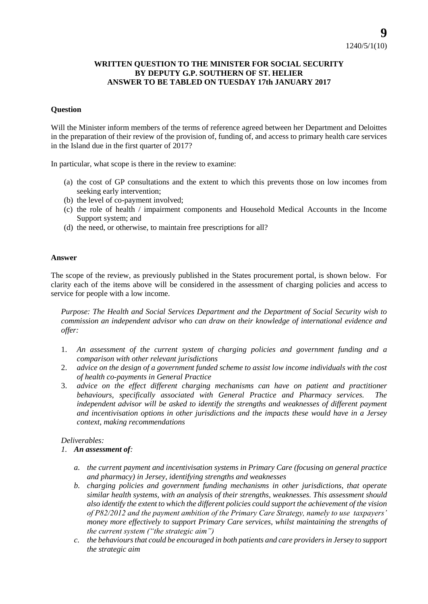## **WRITTEN QUESTION TO THE MINISTER FOR SOCIAL SECURITY BY DEPUTY G.P. SOUTHERN OF ST. HELIER ANSWER TO BE TABLED ON TUESDAY 17th JANUARY 2017**

## **Question**

Will the Minister inform members of the terms of reference agreed between her Department and Deloittes in the preparation of their review of the provision of, funding of, and access to primary health care services in the Island due in the first quarter of 2017?

In particular, what scope is there in the review to examine:

- (a) the cost of GP consultations and the extent to which this prevents those on low incomes from seeking early intervention;
- (b) the level of co-payment involved;
- (c) the role of health / impairment components and Household Medical Accounts in the Income Support system; and
- (d) the need, or otherwise, to maintain free prescriptions for all?

## **Answer**

The scope of the review, as previously published in the States procurement portal, is shown below. For clarity each of the items above will be considered in the assessment of charging policies and access to service for people with a low income.

*Purpose: The Health and Social Services Department and the Department of Social Security wish to commission an independent advisor who can draw on their knowledge of international evidence and offer:*

- 1. *An assessment of the current system of charging policies and government funding and a comparison with other relevant jurisdictions*
- 2. *advice on the design of a government funded scheme to assist low income individuals with the cost of health co-payments in General Practice*
- 3. *advice on the effect different charging mechanisms can have on patient and practitioner behaviours, specifically associated with General Practice and Pharmacy services. The*  independent advisor will be asked to identify the strengths and weaknesses of different payment *and incentivisation options in other jurisdictions and the impacts these would have in a Jersey context, making recommendations*

## *Deliverables:*

- *1. An assessment of:*
	- *a. the current payment and incentivisation systems in Primary Care (focusing on general practice and pharmacy) in Jersey, identifying strengths and weaknesses*
	- *b. charging policies and government funding mechanisms in other jurisdictions, that operate similar health systems, with an analysis of their strengths, weaknesses. This assessment should also identify the extent to which the different policies could support the achievement of the vision of P82/2012 and the payment ambition of the Primary Care Strategy, namely to use taxpayers' money more effectively to support Primary Care services, whilst maintaining the strengths of the current system ("the strategic aim")*
	- *c. the behaviours that could be encouraged in both patients and care providers in Jersey to support the strategic aim*